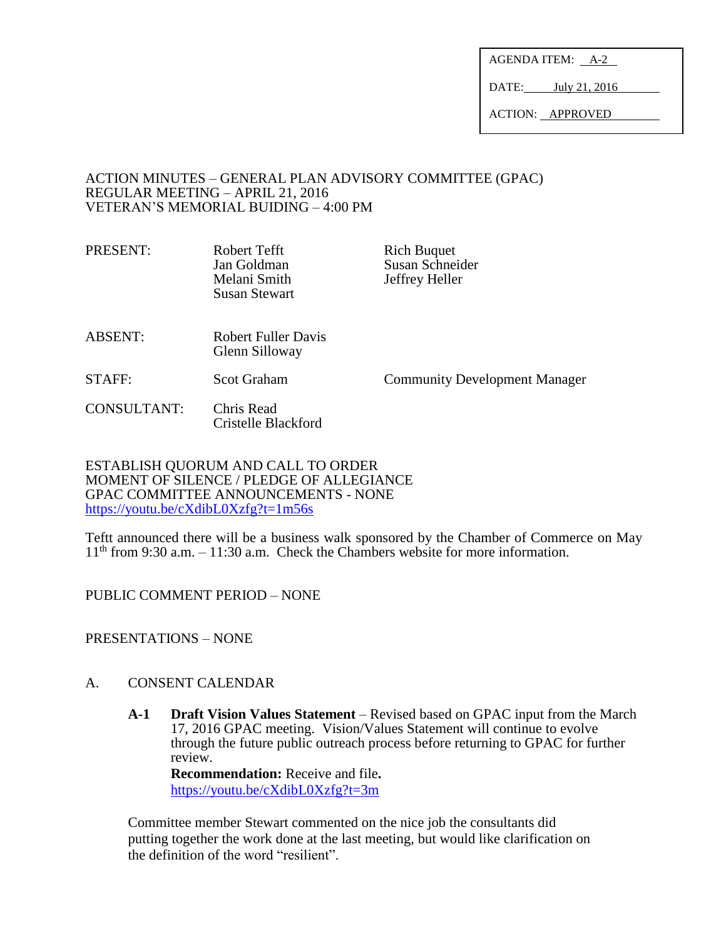AGENDA ITEM: A-2

DATE: July 21, 2016

ACTION: APPROVED

## ACTION MINUTES – GENERAL PLAN ADVISORY COMMITTEE (GPAC) REGULAR MEETING – APRIL 21, 2016 VETERAN'S MEMORIAL BUIDING – 4:00 PM

PRESENT: Robert Tefft Rich Buquet Jan Goldman Susan Schneider Melani Smith Jeffrey Heller Susan Stewart

- ABSENT: Robert Fuller Davis Glenn Silloway
- STAFF: Scot Graham Community Development Manager

CONSULTANT: Chris Read Cristelle Blackford

ESTABLISH QUORUM AND CALL TO ORDER MOMENT OF SILENCE / PLEDGE OF ALLEGIANCE GPAC COMMITTEE ANNOUNCEMENTS - NONE <https://youtu.be/cXdibL0Xzfg?t=1m56s>

Teftt announced there will be a business walk sponsored by the Chamber of Commerce on May  $11<sup>th</sup>$  from 9:30 a.m. – 11:30 a.m. Check the Chambers website for more information.

PUBLIC COMMENT PERIOD – NONE

PRESENTATIONS – NONE

# A. CONSENT CALENDAR

**A-1 Draft Vision Values Statement** – Revised based on GPAC input from the March 17, 2016 GPAC meeting. Vision/Values Statement will continue to evolve through the future public outreach process before returning to GPAC for further review.

**Recommendation:** Receive and file**.** <https://youtu.be/cXdibL0Xzfg?t=3m>

Committee member Stewart commented on the nice job the consultants did putting together the work done at the last meeting, but would like clarification on the definition of the word "resilient".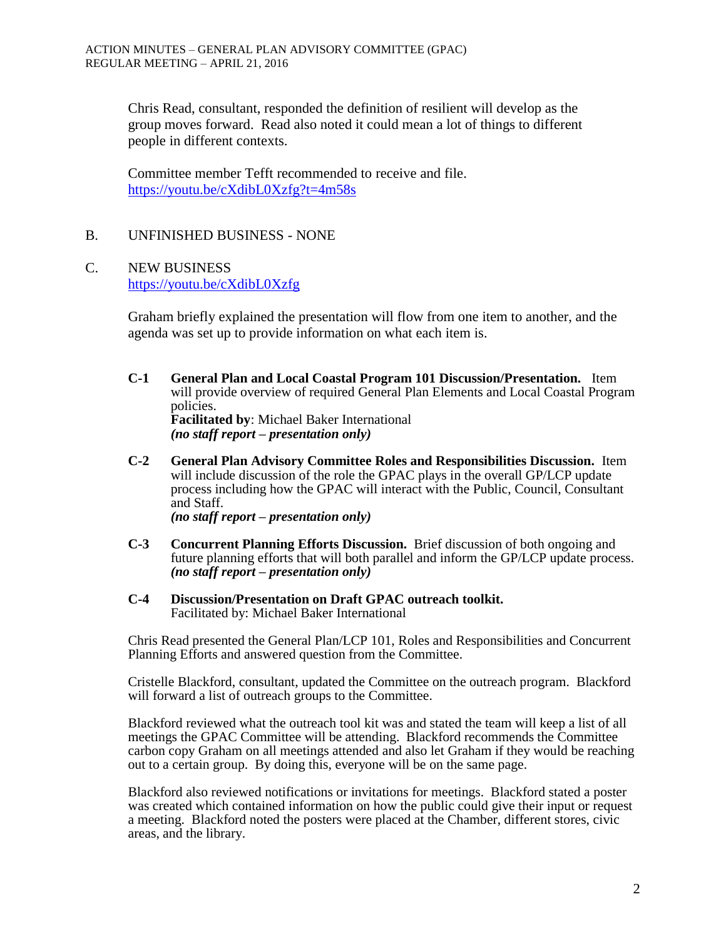Chris Read, consultant, responded the definition of resilient will develop as the group moves forward. Read also noted it could mean a lot of things to different people in different contexts.

Committee member Tefft recommended to receive and file. <https://youtu.be/cXdibL0Xzfg?t=4m58s>

## B. UNFINISHED BUSINESS - NONE

# C. NEW BUSINESS

<https://youtu.be/cXdibL0Xzfg>

Graham briefly explained the presentation will flow from one item to another, and the agenda was set up to provide information on what each item is.

**C-1 General Plan and Local Coastal Program 101 Discussion/Presentation.** Item will provide overview of required General Plan Elements and Local Coastal Program policies. **Facilitated by**: Michael Baker International

*(no staff report – presentation only)*

**C-2 General Plan Advisory Committee Roles and Responsibilities Discussion.** Item will include discussion of the role the GPAC plays in the overall GP/LCP update process including how the GPAC will interact with the Public, Council, Consultant and Staff.

*(no staff report – presentation only)*

- **C-3 Concurrent Planning Efforts Discussion.** Brief discussion of both ongoing and future planning efforts that will both parallel and inform the GP/LCP update process. *(no staff report – presentation only)*
- **C-4 Discussion/Presentation on Draft GPAC outreach toolkit.**  Facilitated by: Michael Baker International

Chris Read presented the General Plan/LCP 101, Roles and Responsibilities and Concurrent Planning Efforts and answered question from the Committee.

Cristelle Blackford, consultant, updated the Committee on the outreach program. Blackford will forward a list of outreach groups to the Committee.

Blackford reviewed what the outreach tool kit was and stated the team will keep a list of all meetings the GPAC Committee will be attending. Blackford recommends the Committee carbon copy Graham on all meetings attended and also let Graham if they would be reaching out to a certain group. By doing this, everyone will be on the same page.

Blackford also reviewed notifications or invitations for meetings. Blackford stated a poster was created which contained information on how the public could give their input or request a meeting. Blackford noted the posters were placed at the Chamber, different stores, civic areas, and the library.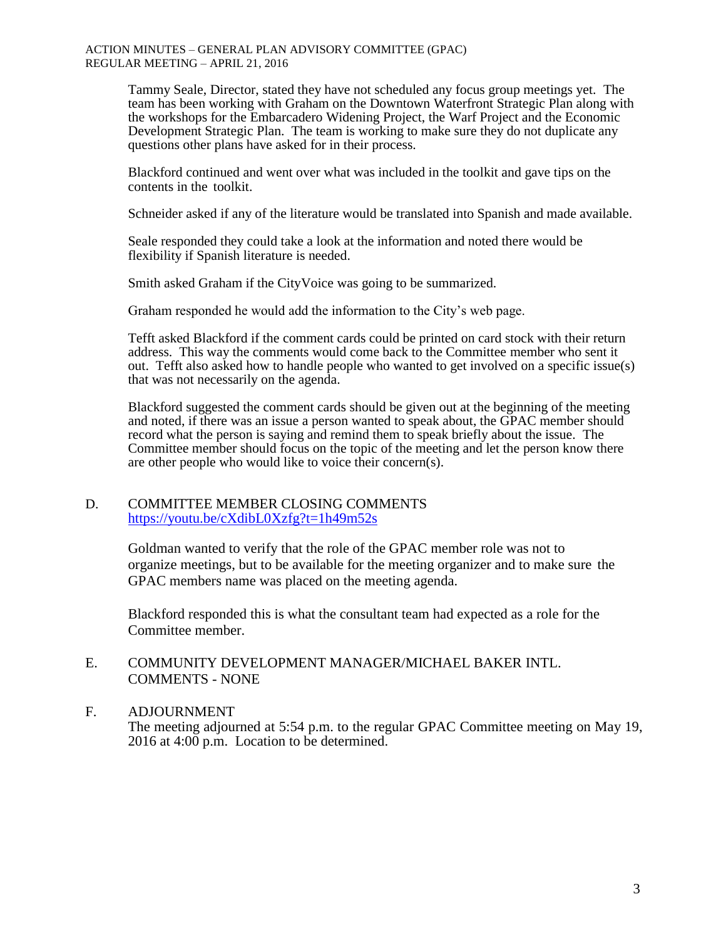#### ACTION MINUTES – GENERAL PLAN ADVISORY COMMITTEE (GPAC) REGULAR MEETING – APRIL 21, 2016

Tammy Seale, Director, stated they have not scheduled any focus group meetings yet. The team has been working with Graham on the Downtown Waterfront Strategic Plan along with the workshops for the Embarcadero Widening Project, the Warf Project and the Economic Development Strategic Plan. The team is working to make sure they do not duplicate any questions other plans have asked for in their process.

Blackford continued and went over what was included in the toolkit and gave tips on the contents in the toolkit.

Schneider asked if any of the literature would be translated into Spanish and made available.

Seale responded they could take a look at the information and noted there would be flexibility if Spanish literature is needed.

Smith asked Graham if the CityVoice was going to be summarized.

Graham responded he would add the information to the City's web page.

Tefft asked Blackford if the comment cards could be printed on card stock with their return address. This way the comments would come back to the Committee member who sent it out. Tefft also asked how to handle people who wanted to get involved on a specific issue(s) that was not necessarily on the agenda.

Blackford suggested the comment cards should be given out at the beginning of the meeting and noted, if there was an issue a person wanted to speak about, the GPAC member should record what the person is saying and remind them to speak briefly about the issue. The Committee member should focus on the topic of the meeting and let the person know there are other people who would like to voice their concern(s).

### D. COMMITTEE MEMBER CLOSING COMMENTS <https://youtu.be/cXdibL0Xzfg?t=1h49m52s>

Goldman wanted to verify that the role of the GPAC member role was not to organize meetings, but to be available for the meeting organizer and to make sure the GPAC members name was placed on the meeting agenda.

Blackford responded this is what the consultant team had expected as a role for the Committee member.

## E. COMMUNITY DEVELOPMENT MANAGER/MICHAEL BAKER INTL. COMMENTS - NONE

## F. ADJOURNMENT

The meeting adjourned at 5:54 p.m. to the regular GPAC Committee meeting on May 19, 2016 at 4:00 p.m. Location to be determined.